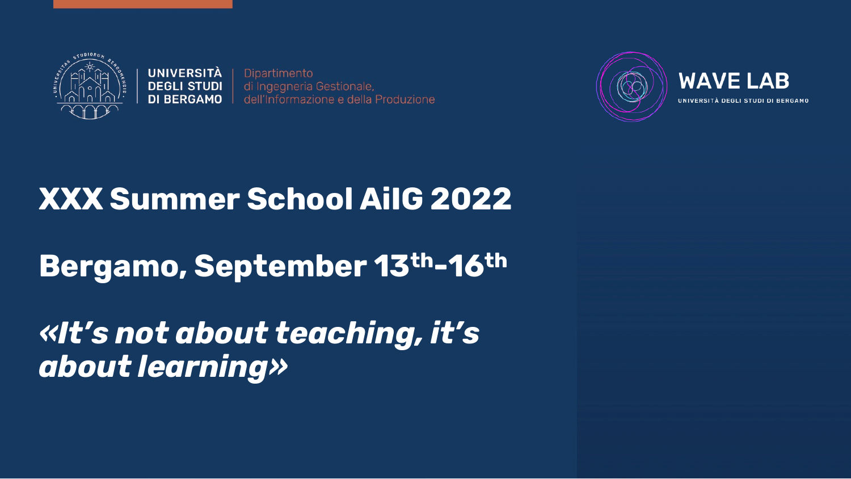

**UNIVERSITÀ DEGLI STUDI DI BERGAMO** 

Dipartimento di Ingegneria Gestionale. dell'Informazione e della Produzione



#### **XXX Summer School AiIG 2022**

### **Bergamo, September 13th-16th**

#### *«It's not about teaching, it's about learning»*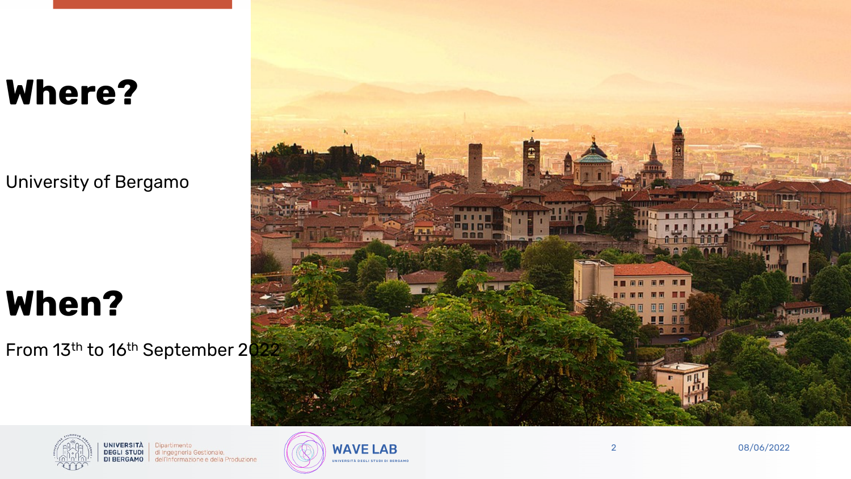## **Where?**

University of Bergamo

# **When?**

From 13<sup>th</sup> to 16<sup>th</sup> September 2022





Dipartimento di Ingegneria Gestionale, dell'Informazione e della Produzione

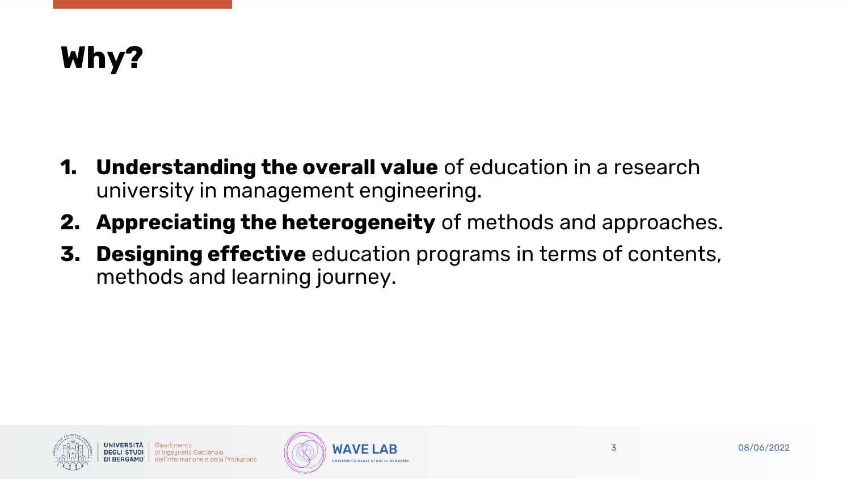## **Why?**

- **1. Understanding the overall value** of education in a research university in management engineering.
- **2. Appreciating the heterogeneity** of methods and approaches.
- **3. Designing effective** education programs in terms of contents, methods and learning journey.



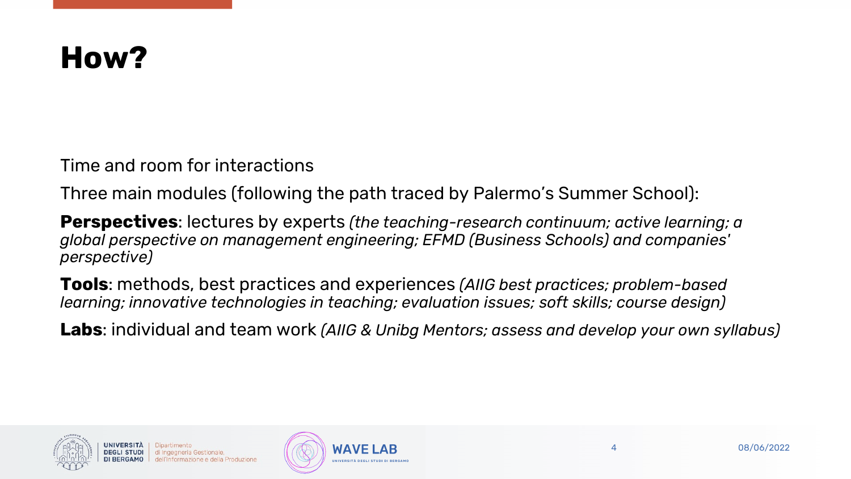#### **How?**

Time and room for interactions

Three main modules (following the path traced by Palermo's Summer School):

**Perspectives**: lectures by experts *(the teaching-research continuum; active learning; a global perspective on management engineering; EFMD (Business Schools) and companies' perspective)*

**Tools**: methods, best practices and experiences *(AIIG best practices; problem-based learning; innovative technologies in teaching; evaluation issues; soft skills; course design)*

**Labs**: individual and team work *(AIIG & Unibg Mentors; assess and develop your own syllabus)*



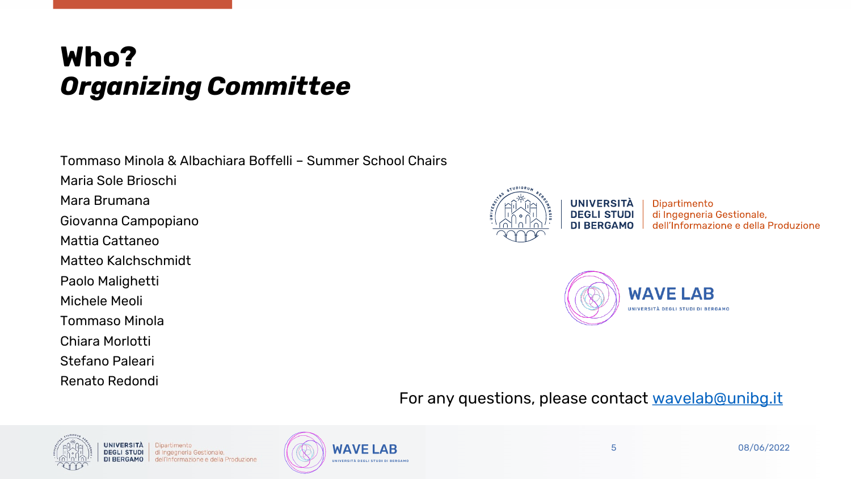#### **Who?**  *Organizing Committee*

Tommaso Minola & Albachiara Boffelli – Summer School Chairs Maria Sole Brioschi Mara Brumana Giovanna Campopiano Mattia Cattaneo Matteo Kalchschmidt Paolo Malighetti Michele Meoli Tommaso Minola Chiara Morlotti Stefano Paleari Renato Redondi



**UNIVERSITÀ DEGLI STUDI DI BERGAMO** 

Dipartimento di Ingegneria Gestionale, dell'Informazione e della Produzione



#### For any questions, please contact [wavelab@unibg.it](mailto:wavelab@unibg.it)



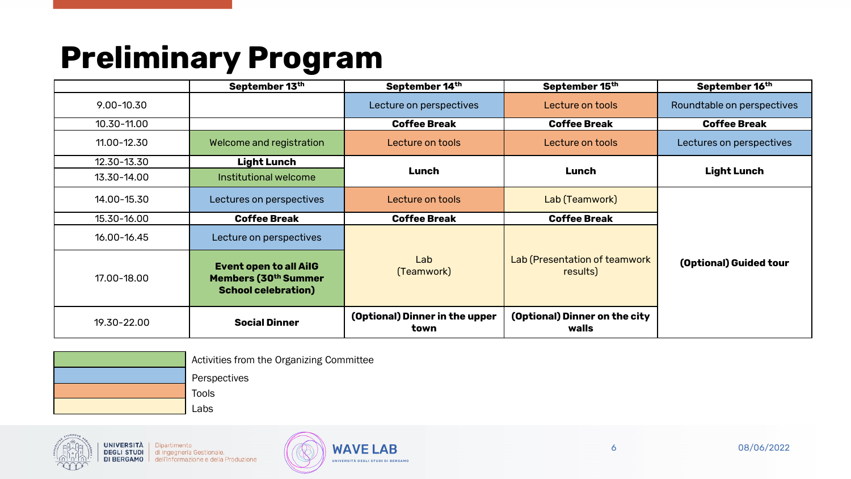## **Preliminary Program**

|                | September 13th                                                                                  | September 14th                         | September 15th                            | September 16th             |
|----------------|-------------------------------------------------------------------------------------------------|----------------------------------------|-------------------------------------------|----------------------------|
| $9.00 - 10.30$ |                                                                                                 | Lecture on perspectives                | Lecture on tools                          | Roundtable on perspectives |
| 10.30-11.00    |                                                                                                 | <b>Coffee Break</b>                    | <b>Coffee Break</b>                       | <b>Coffee Break</b>        |
| 11.00-12.30    | Welcome and registration                                                                        | Lecture on tools                       | Lecture on tools                          | Lectures on perspectives   |
| 12.30-13.30    | <b>Light Lunch</b>                                                                              | Lunch                                  | Lunch                                     | <b>Light Lunch</b>         |
| 13.30-14.00    | Institutional welcome                                                                           |                                        |                                           |                            |
| 14.00-15.30    | Lectures on perspectives                                                                        | Lecture on tools                       | Lab (Teamwork)                            |                            |
| 15.30-16.00    | <b>Coffee Break</b>                                                                             | <b>Coffee Break</b>                    | <b>Coffee Break</b>                       |                            |
| 16.00-16.45    | Lecture on perspectives                                                                         |                                        |                                           |                            |
| 17.00-18.00    | <b>Event open to all AilG</b><br>Members (30 <sup>th</sup> Summer<br><b>School celebration)</b> | Lab<br>(Teamwork)                      | Lab (Presentation of teamwork<br>results) | (Optional) Guided tour     |
| 19.30-22.00    | <b>Social Dinner</b>                                                                            | (Optional) Dinner in the upper<br>town | (Optional) Dinner on the city<br>walls    |                            |

| Activities from the Organizing Committee |
|------------------------------------------|
| Perspectives                             |
| Tools                                    |
| Labs                                     |